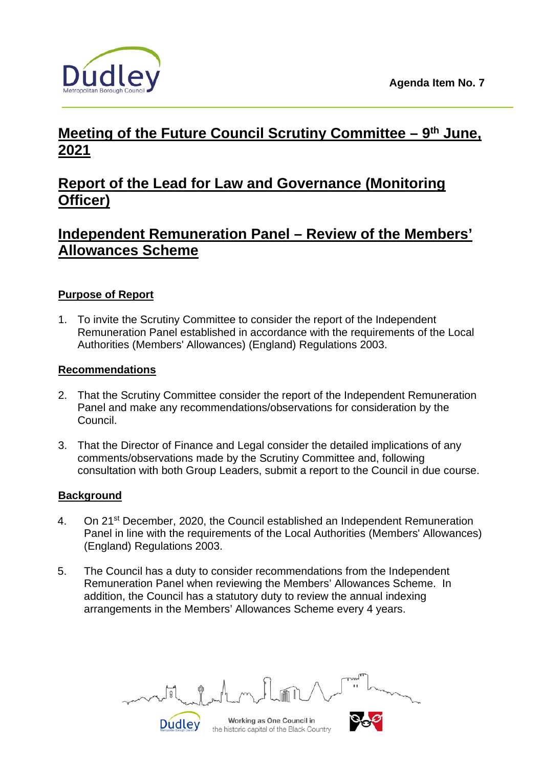

# **Meeting of the Future Council Scrutiny Committee – 9th June, 2021**

## **Report of the Lead for Law and Governance (Monitoring Officer)**

## **Independent Remuneration Panel – Review of the Members' Allowances Scheme**

## **Purpose of Report**

1. To invite the Scrutiny Committee to consider the report of the Independent Remuneration Panel established in accordance with the requirements of the Local Authorities (Members' Allowances) (England) Regulations 2003.

#### **Recommendations**

- 2. That the Scrutiny Committee consider the report of the Independent Remuneration Panel and make any recommendations/observations for consideration by the Council.
- 3. That the Director of Finance and Legal consider the detailed implications of any comments/observations made by the Scrutiny Committee and, following consultation with both Group Leaders, submit a report to the Council in due course.

## **Background**

- 4. On 21st December, 2020, the Council established an Independent Remuneration Panel in line with the requirements of the Local Authorities (Members' Allowances) (England) Regulations 2003.
- 5. The Council has a duty to consider recommendations from the Independent Remuneration Panel when reviewing the Members' Allowances Scheme. In addition, the Council has a statutory duty to review the annual indexing arrangements in the Members' Allowances Scheme every 4 years.

Working as One Council in **Dudley**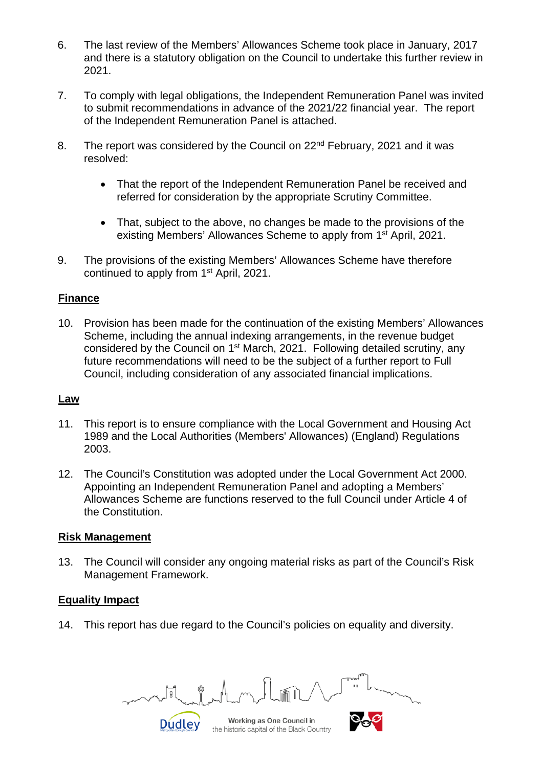- 6. The last review of the Members' Allowances Scheme took place in January, 2017 and there is a statutory obligation on the Council to undertake this further review in 2021.
- 7. To comply with legal obligations, the Independent Remuneration Panel was invited to submit recommendations in advance of the 2021/22 financial year. The report of the Independent Remuneration Panel is attached.
- 8. The report was considered by the Council on 22<sup>nd</sup> February, 2021 and it was resolved:
	- That the report of the Independent Remuneration Panel be received and referred for consideration by the appropriate Scrutiny Committee.
	- That, subject to the above, no changes be made to the provisions of the existing Members' Allowances Scheme to apply from 1<sup>st</sup> April, 2021.
- 9. The provisions of the existing Members' Allowances Scheme have therefore continued to apply from 1<sup>st</sup> April, 2021.

## **Finance**

10. Provision has been made for the continuation of the existing Members' Allowances Scheme, including the annual indexing arrangements, in the revenue budget considered by the Council on 1st March, 2021. Following detailed scrutiny, any future recommendations will need to be the subject of a further report to Full Council, including consideration of any associated financial implications.

#### **Law**

- 11. This report is to ensure compliance with the Local Government and Housing Act 1989 and the Local Authorities (Members' Allowances) (England) Regulations 2003.
- 12. The Council's Constitution was adopted under the Local Government Act 2000. Appointing an Independent Remuneration Panel and adopting a Members' Allowances Scheme are functions reserved to the full Council under Article 4 of the Constitution.

#### **Risk Management**

13. The Council will consider any ongoing material risks as part of the Council's Risk Management Framework.

#### **Equality Impact**

14. This report has due regard to the Council's policies on equality and diversity.

Working as One Council in **Dudley**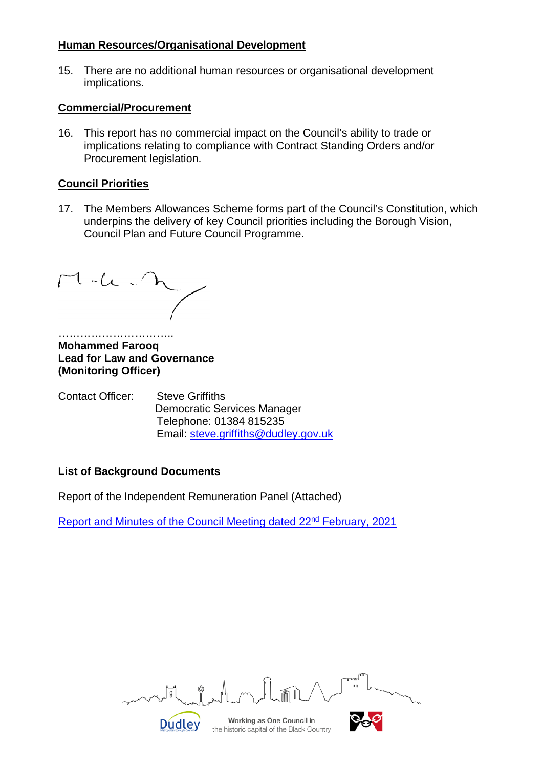#### **Human Resources/Organisational Development**

15. There are no additional human resources or organisational development implications.

#### **Commercial/Procurement**

16. This report has no commercial impact on the Council's ability to trade or implications relating to compliance with Contract Standing Orders and/or Procurement legislation.

## **Council Priorities**

17. The Members Allowances Scheme forms part of the Council's Constitution, which underpins the delivery of key Council priorities including the Borough Vision, Council Plan and Future Council Programme.

 $M-L$ 

………………………………………… **Mohammed Farooq Lead for Law and Governance (Monitoring Officer)**

| Contact Officer: | <b>Steve Griffiths</b>               |
|------------------|--------------------------------------|
|                  | <b>Democratic Services Manager</b>   |
|                  | Telephone: 01384 815235              |
|                  | Email: steve.griffiths@dudley.gov.uk |

## **List of Background Documents**

Report of the Independent Remuneration Panel (Attached)

**Dudley** 

Report and Minutes of the Council Meeting dated 22<sup>nd</sup> February, 2021

 $\sqrt{g}$ 

Working as One Council in the historic capital of the Black Country

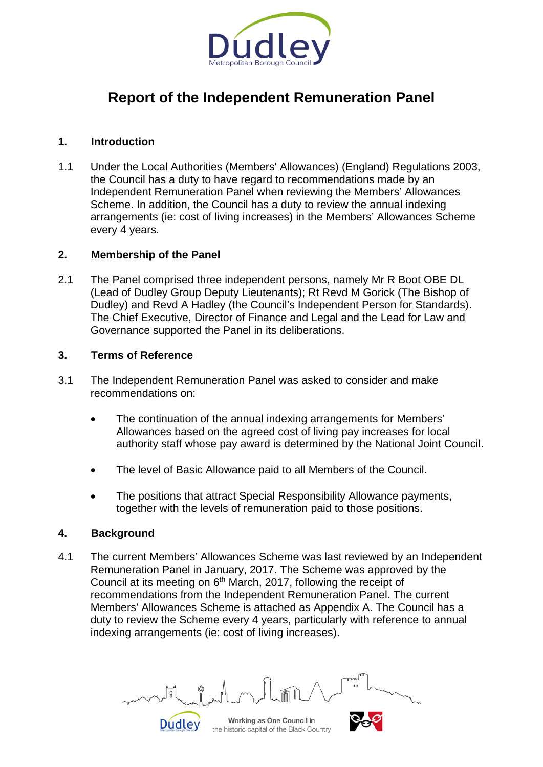

## **Report of the Independent Remuneration Panel**

### **1. Introduction**

1.1 Under the Local Authorities (Members' Allowances) (England) Regulations 2003, the Council has a duty to have regard to recommendations made by an Independent Remuneration Panel when reviewing the Members' Allowances Scheme. In addition, the Council has a duty to review the annual indexing arrangements (ie: cost of living increases) in the Members' Allowances Scheme every 4 years.

#### **2. Membership of the Panel**

2.1 The Panel comprised three independent persons, namely Mr R Boot OBE DL (Lead of Dudley Group Deputy Lieutenants); Rt Revd M Gorick (The Bishop of Dudley) and Revd A Hadley (the Council's Independent Person for Standards). The Chief Executive, Director of Finance and Legal and the Lead for Law and Governance supported the Panel in its deliberations.

#### **3. Terms of Reference**

- 3.1 The Independent Remuneration Panel was asked to consider and make recommendations on:
	- The continuation of the annual indexing arrangements for Members' Allowances based on the agreed cost of living pay increases for local authority staff whose pay award is determined by the National Joint Council.
	- The level of Basic Allowance paid to all Members of the Council.
	- The positions that attract Special Responsibility Allowance payments, together with the levels of remuneration paid to those positions.

#### **4. Background**

4.1 The current Members' Allowances Scheme was last reviewed by an Independent Remuneration Panel in January, 2017. The Scheme was approved by the Council at its meeting on 6<sup>th</sup> March, 2017, following the receipt of recommendations from the Independent Remuneration Panel. The current Members' Allowances Scheme is attached as Appendix A. The Council has a duty to review the Scheme every 4 years, particularly with reference to annual indexing arrangements (ie: cost of living increases).

Working as One Council in the historic capital of the Black Country

Dudley

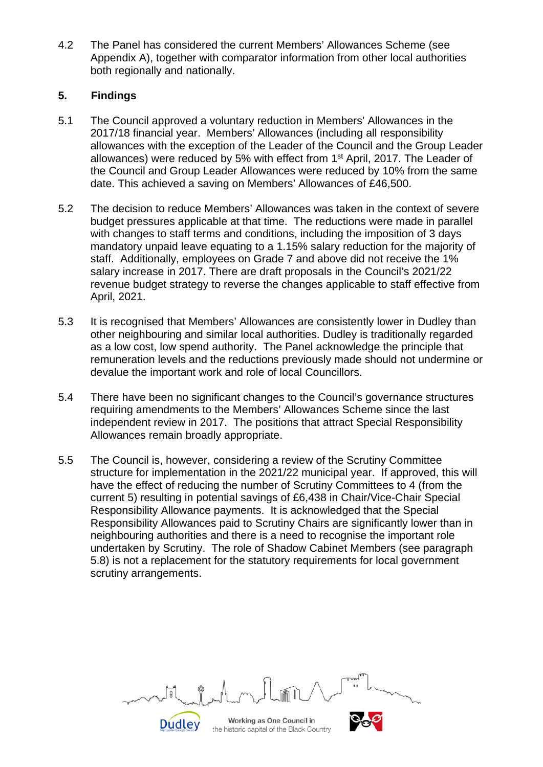4.2 The Panel has considered the current Members' Allowances Scheme (see Appendix A), together with comparator information from other local authorities both regionally and nationally.

## **5. Findings**

- 5.1 The Council approved a voluntary reduction in Members' Allowances in the 2017/18 financial year. Members' Allowances (including all responsibility allowances with the exception of the Leader of the Council and the Group Leader allowances) were reduced by 5% with effect from 1st April, 2017. The Leader of the Council and Group Leader Allowances were reduced by 10% from the same date. This achieved a saving on Members' Allowances of £46,500.
- 5.2 The decision to reduce Members' Allowances was taken in the context of severe budget pressures applicable at that time. The reductions were made in parallel with changes to staff terms and conditions, including the imposition of 3 days mandatory unpaid leave equating to a 1.15% salary reduction for the majority of staff. Additionally, employees on Grade 7 and above did not receive the 1% salary increase in 2017. There are draft proposals in the Council's 2021/22 revenue budget strategy to reverse the changes applicable to staff effective from April, 2021.
- 5.3 It is recognised that Members' Allowances are consistently lower in Dudley than other neighbouring and similar local authorities. Dudley is traditionally regarded as a low cost, low spend authority. The Panel acknowledge the principle that remuneration levels and the reductions previously made should not undermine or devalue the important work and role of local Councillors.
- 5.4 There have been no significant changes to the Council's governance structures requiring amendments to the Members' Allowances Scheme since the last independent review in 2017. The positions that attract Special Responsibility Allowances remain broadly appropriate.
- 5.5 The Council is, however, considering a review of the Scrutiny Committee structure for implementation in the 2021/22 municipal year. If approved, this will have the effect of reducing the number of Scrutiny Committees to 4 (from the current 5) resulting in potential savings of £6,438 in Chair/Vice-Chair Special Responsibility Allowance payments. It is acknowledged that the Special Responsibility Allowances paid to Scrutiny Chairs are significantly lower than in neighbouring authorities and there is a need to recognise the important role undertaken by Scrutiny. The role of Shadow Cabinet Members (see paragraph 5.8) is not a replacement for the statutory requirements for local government scrutiny arrangements.

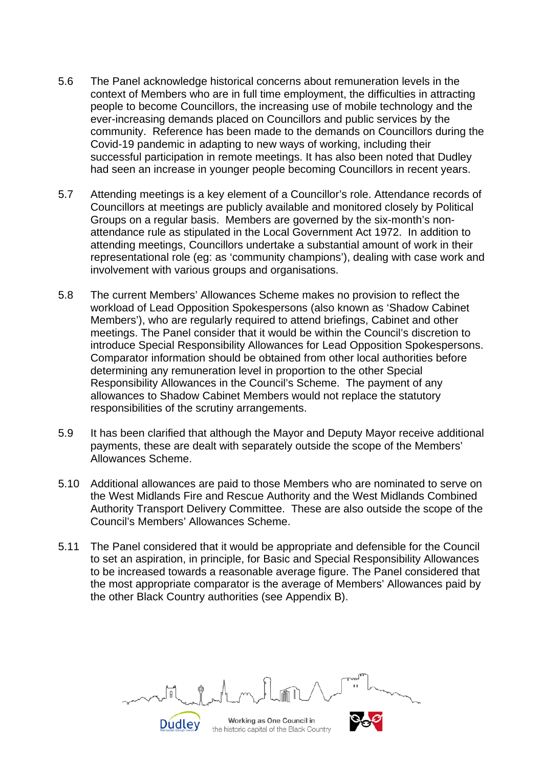- 5.6 The Panel acknowledge historical concerns about remuneration levels in the context of Members who are in full time employment, the difficulties in attracting people to become Councillors, the increasing use of mobile technology and the ever-increasing demands placed on Councillors and public services by the community. Reference has been made to the demands on Councillors during the Covid-19 pandemic in adapting to new ways of working, including their successful participation in remote meetings. It has also been noted that Dudley had seen an increase in younger people becoming Councillors in recent years.
- 5.7 Attending meetings is a key element of a Councillor's role. Attendance records of Councillors at meetings are publicly available and monitored closely by Political Groups on a regular basis. Members are governed by the six-month's nonattendance rule as stipulated in the Local Government Act 1972. In addition to attending meetings, Councillors undertake a substantial amount of work in their representational role (eg: as 'community champions'), dealing with case work and involvement with various groups and organisations.
- 5.8 The current Members' Allowances Scheme makes no provision to reflect the workload of Lead Opposition Spokespersons (also known as 'Shadow Cabinet Members'), who are regularly required to attend briefings, Cabinet and other meetings. The Panel consider that it would be within the Council's discretion to introduce Special Responsibility Allowances for Lead Opposition Spokespersons. Comparator information should be obtained from other local authorities before determining any remuneration level in proportion to the other Special Responsibility Allowances in the Council's Scheme. The payment of any allowances to Shadow Cabinet Members would not replace the statutory responsibilities of the scrutiny arrangements.
- 5.9 It has been clarified that although the Mayor and Deputy Mayor receive additional payments, these are dealt with separately outside the scope of the Members' Allowances Scheme.
- 5.10 Additional allowances are paid to those Members who are nominated to serve on the West Midlands Fire and Rescue Authority and the West Midlands Combined Authority Transport Delivery Committee. These are also outside the scope of the Council's Members' Allowances Scheme.
- 5.11 The Panel considered that it would be appropriate and defensible for the Council to set an aspiration, in principle, for Basic and Special Responsibility Allowances to be increased towards a reasonable average figure. The Panel considered that the most appropriate comparator is the average of Members' Allowances paid by the other Black Country authorities (see Appendix B).

Working as One Council in Dudley the historic capital of the Black Country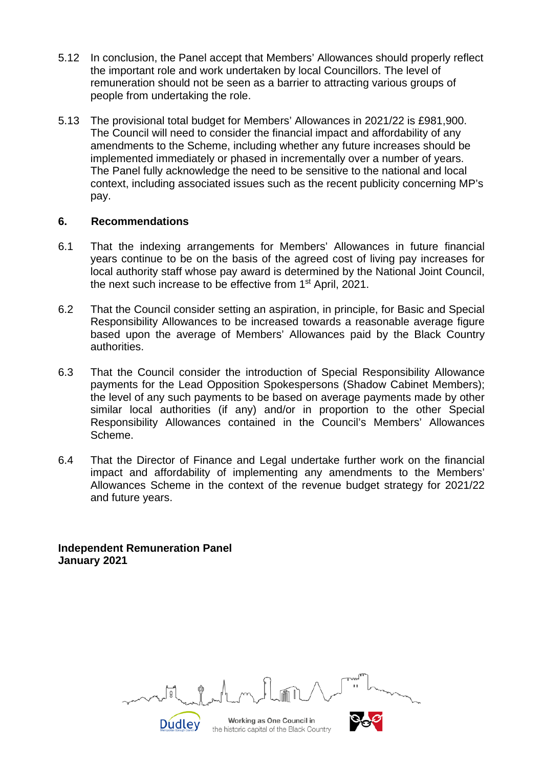- 5.12 In conclusion, the Panel accept that Members' Allowances should properly reflect the important role and work undertaken by local Councillors. The level of remuneration should not be seen as a barrier to attracting various groups of people from undertaking the role.
- 5.13 The provisional total budget for Members' Allowances in 2021/22 is £981,900. The Council will need to consider the financial impact and affordability of any amendments to the Scheme, including whether any future increases should be implemented immediately or phased in incrementally over a number of years. The Panel fully acknowledge the need to be sensitive to the national and local context, including associated issues such as the recent publicity concerning MP's pay.

#### **6. Recommendations**

- 6.1 That the indexing arrangements for Members' Allowances in future financial years continue to be on the basis of the agreed cost of living pay increases for local authority staff whose pay award is determined by the National Joint Council, the next such increase to be effective from 1st April, 2021.
- 6.2 That the Council consider setting an aspiration, in principle, for Basic and Special Responsibility Allowances to be increased towards a reasonable average figure based upon the average of Members' Allowances paid by the Black Country authorities.
- 6.3 That the Council consider the introduction of Special Responsibility Allowance payments for the Lead Opposition Spokespersons (Shadow Cabinet Members); the level of any such payments to be based on average payments made by other similar local authorities (if any) and/or in proportion to the other Special Responsibility Allowances contained in the Council's Members' Allowances Scheme.
- 6.4 That the Director of Finance and Legal undertake further work on the financial impact and affordability of implementing any amendments to the Members' Allowances Scheme in the context of the revenue budget strategy for 2021/22 and future years.

**Independent Remuneration Panel January 2021**

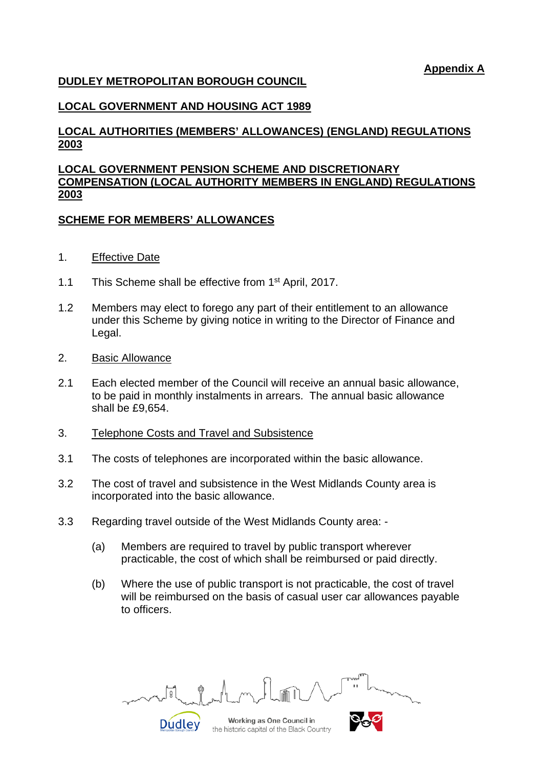**Appendix A**

#### **DUDLEY METROPOLITAN BOROUGH COUNCIL**

## **LOCAL GOVERNMENT AND HOUSING ACT 1989**

### **LOCAL AUTHORITIES (MEMBERS' ALLOWANCES) (ENGLAND) REGULATIONS 2003**

#### **LOCAL GOVERNMENT PENSION SCHEME AND DISCRETIONARY COMPENSATION (LOCAL AUTHORITY MEMBERS IN ENGLAND) REGULATIONS 2003**

#### **SCHEME FOR MEMBERS' ALLOWANCES**

- 1. Effective Date
- 1.1 This Scheme shall be effective from 1<sup>st</sup> April, 2017.
- 1.2 Members may elect to forego any part of their entitlement to an allowance under this Scheme by giving notice in writing to the Director of Finance and Legal.
- 2. Basic Allowance
- 2.1 Each elected member of the Council will receive an annual basic allowance, to be paid in monthly instalments in arrears. The annual basic allowance shall be £9,654.
- 3. Telephone Costs and Travel and Subsistence
- 3.1 The costs of telephones are incorporated within the basic allowance.
- 3.2 The cost of travel and subsistence in the West Midlands County area is incorporated into the basic allowance.
- 3.3 Regarding travel outside of the West Midlands County area:
	- (a) Members are required to travel by public transport wherever practicable, the cost of which shall be reimbursed or paid directly.
	- (b) Where the use of public transport is not practicable, the cost of travel will be reimbursed on the basis of casual user car allowances payable to officers.

ब्रि Working as One Council in **Dudley**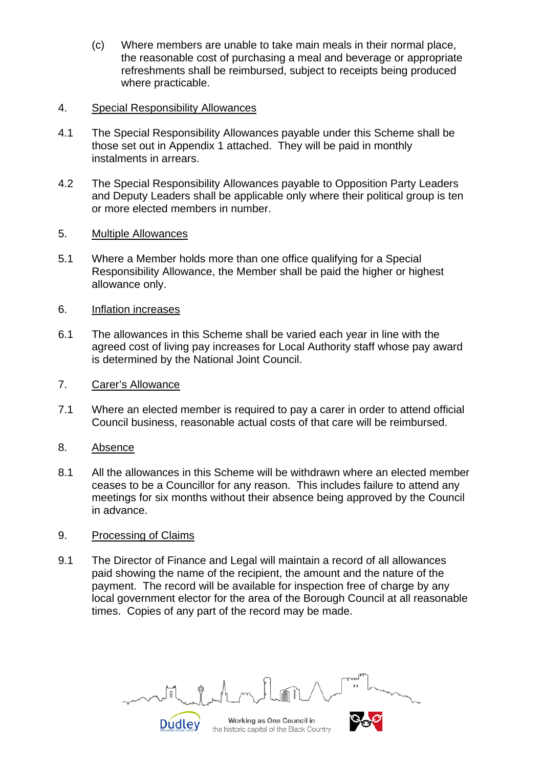(c) Where members are unable to take main meals in their normal place, the reasonable cost of purchasing a meal and beverage or appropriate refreshments shall be reimbursed, subject to receipts being produced where practicable.

#### 4. Special Responsibility Allowances

- 4.1 The Special Responsibility Allowances payable under this Scheme shall be those set out in Appendix 1 attached. They will be paid in monthly instalments in arrears.
- 4.2 The Special Responsibility Allowances payable to Opposition Party Leaders and Deputy Leaders shall be applicable only where their political group is ten or more elected members in number.
- 5. Multiple Allowances
- 5.1 Where a Member holds more than one office qualifying for a Special Responsibility Allowance, the Member shall be paid the higher or highest allowance only.
- 6. Inflation increases
- 6.1 The allowances in this Scheme shall be varied each year in line with the agreed cost of living pay increases for Local Authority staff whose pay award is determined by the National Joint Council.
- 7. Carer's Allowance
- 7.1 Where an elected member is required to pay a carer in order to attend official Council business, reasonable actual costs of that care will be reimbursed.
- 8. Absence
- 8.1 All the allowances in this Scheme will be withdrawn where an elected member ceases to be a Councillor for any reason. This includes failure to attend any meetings for six months without their absence being approved by the Council in advance.
- 9. Processing of Claims
- 9.1 The Director of Finance and Legal will maintain a record of all allowances paid showing the name of the recipient, the amount and the nature of the payment. The record will be available for inspection free of charge by any local government elector for the area of the Borough Council at all reasonable times. Copies of any part of the record may be made.

Working as One Council in **Dudley**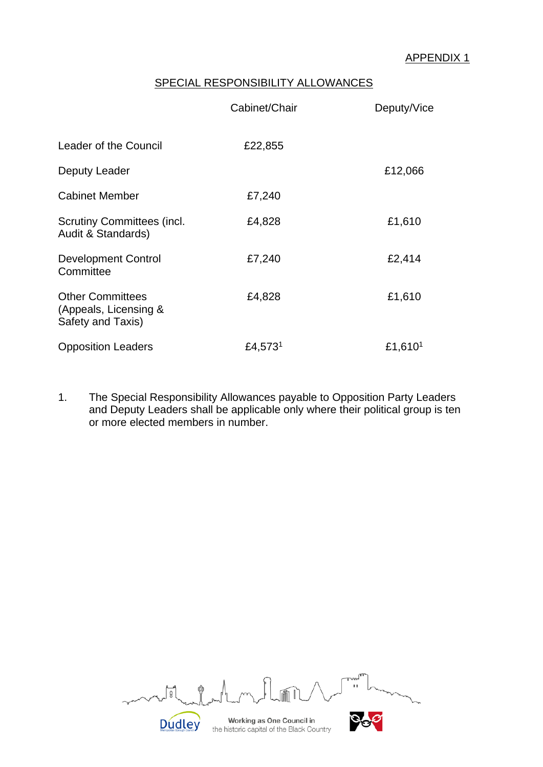## SPECIAL RESPONSIBILITY ALLOWANCES

|                                                                       | Cabinet/Chair       | Deputy/Vice         |  |
|-----------------------------------------------------------------------|---------------------|---------------------|--|
| Leader of the Council                                                 | £22,855             |                     |  |
| Deputy Leader                                                         |                     | £12,066             |  |
| <b>Cabinet Member</b>                                                 | £7,240              |                     |  |
| <b>Scrutiny Committees (incl.</b><br>Audit & Standards)               | £4,828              | £1,610              |  |
| <b>Development Control</b><br>Committee                               | £7,240              | £2,414              |  |
| <b>Other Committees</b><br>(Appeals, Licensing &<br>Safety and Taxis) | £4,828              | £1,610              |  |
| <b>Opposition Leaders</b>                                             | £4,573 <sup>1</sup> | £1,610 <sup>1</sup> |  |

1. The Special Responsibility Allowances payable to Opposition Party Leaders and Deputy Leaders shall be applicable only where their political group is ten or more elected members in number.

| nn.                                                                    | TUMH<br>п |
|------------------------------------------------------------------------|-----------|
| Working as One Council in<br>the historic capital of the Black Country |           |